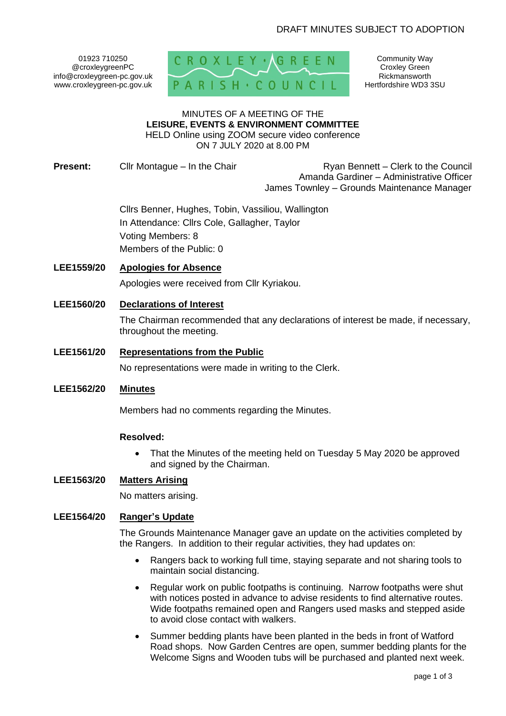01923 710250 @croxleygreenPC info@croxleygreen-pc.gov.uk www.croxleygreen-pc.gov.uk



Community Way Croxley Green Rickmansworth Hertfordshire WD3 3SU

#### MINUTES OF A MEETING OF THE **LEISURE, EVENTS & ENVIRONMENT COMMITTEE** HELD Online using ZOOM secure video conference

ON 7 JULY 2020 at 8.00 PM

**Present:** Cllr Montague – In the Chair **Ryan Bennett – Clerk to the Council** Amanda Gardiner – Administrative Officer James Townley – Grounds Maintenance Manager

> Cllrs Benner, Hughes, Tobin, Vassiliou, Wallington In Attendance: Cllrs Cole, Gallagher, Taylor Voting Members: 8 Members of the Public: 0

## **LEE1559/20 Apologies for Absence**

Apologies were received from Cllr Kyriakou.

## **LEE1560/20 Declarations of Interest**

The Chairman recommended that any declarations of interest be made, if necessary, throughout the meeting.

## **LEE1561/20 Representations from the Public**

No representations were made in writing to the Clerk.

#### **LEE1562/20 Minutes**

Members had no comments regarding the Minutes.

#### **Resolved:**

• That the Minutes of the meeting held on Tuesday 5 May 2020 be approved and signed by the Chairman.

## **LEE1563/20 Matters Arising**

No matters arising.

# **LEE1564/20 Ranger's Update**

The Grounds Maintenance Manager gave an update on the activities completed by the Rangers. In addition to their regular activities, they had updates on:

- Rangers back to working full time, staying separate and not sharing tools to maintain social distancing.
- Regular work on public footpaths is continuing. Narrow footpaths were shut with notices posted in advance to advise residents to find alternative routes. Wide footpaths remained open and Rangers used masks and stepped aside to avoid close contact with walkers.
- Summer bedding plants have been planted in the beds in front of Watford Road shops. Now Garden Centres are open, summer bedding plants for the Welcome Signs and Wooden tubs will be purchased and planted next week.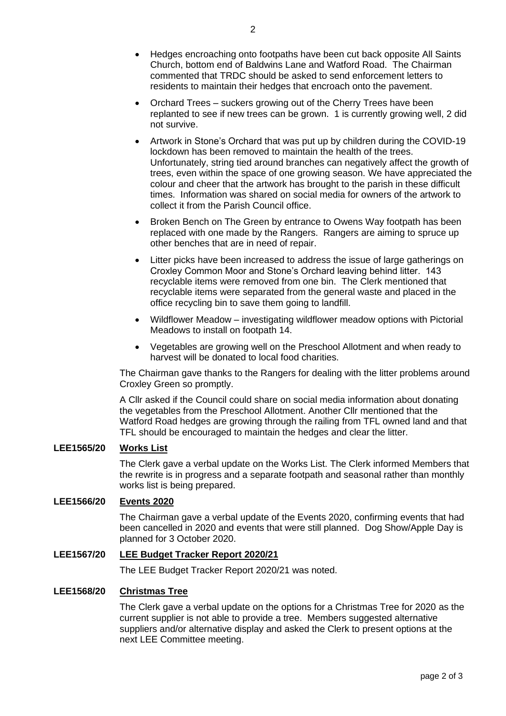- Orchard Trees suckers growing out of the Cherry Trees have been replanted to see if new trees can be grown. 1 is currently growing well, 2 did not survive.
- Artwork in Stone's Orchard that was put up by children during the COVID-19 lockdown has been removed to maintain the health of the trees. Unfortunately, string tied around branches can negatively affect the growth of trees, even within the space of one growing season. We have appreciated the colour and cheer that the artwork has brought to the parish in these difficult times. Information was shared on social media for owners of the artwork to collect it from the Parish Council office.
- Broken Bench on The Green by entrance to Owens Way footpath has been replaced with one made by the Rangers. Rangers are aiming to spruce up other benches that are in need of repair.
- Litter picks have been increased to address the issue of large gatherings on Croxley Common Moor and Stone's Orchard leaving behind litter. 143 recyclable items were removed from one bin. The Clerk mentioned that recyclable items were separated from the general waste and placed in the office recycling bin to save them going to landfill.
- Wildflower Meadow investigating wildflower meadow options with Pictorial Meadows to install on footpath 14.
- Vegetables are growing well on the Preschool Allotment and when ready to harvest will be donated to local food charities.

The Chairman gave thanks to the Rangers for dealing with the litter problems around Croxley Green so promptly.

A Cllr asked if the Council could share on social media information about donating the vegetables from the Preschool Allotment. Another Cllr mentioned that the Watford Road hedges are growing through the railing from TFL owned land and that TFL should be encouraged to maintain the hedges and clear the litter.

## **LEE1565/20 Works List**

The Clerk gave a verbal update on the Works List. The Clerk informed Members that the rewrite is in progress and a separate footpath and seasonal rather than monthly works list is being prepared.

## **LEE1566/20 Events 2020**

The Chairman gave a verbal update of the Events 2020, confirming events that had been cancelled in 2020 and events that were still planned. Dog Show/Apple Day is planned for 3 October 2020.

## **LEE1567/20 LEE Budget Tracker Report 2020/21**

The LEE Budget Tracker Report 2020/21 was noted.

## **LEE1568/20 Christmas Tree**

The Clerk gave a verbal update on the options for a Christmas Tree for 2020 as the current supplier is not able to provide a tree. Members suggested alternative suppliers and/or alternative display and asked the Clerk to present options at the next LEE Committee meeting.